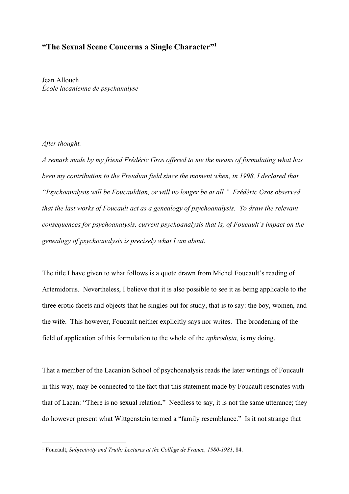## **"The Sexual Scene Concerns a Single Character"1**

Jean Allouch *École lacanienne de psychanalyse*

## *After thought.*

*A remark made by my friend Frédéric Gros offered to me the means of formulating what has been my contribution to the Freudian field since the moment when, in 1998, I declared that "Psychoanalysis will be Foucauldian, or will no longer be at all." Frédéric Gros observed that the last works of Foucault act as a genealogy of psychoanalysis. To draw the relevant consequences for psychoanalysis, current psychoanalysis that is, of Foucault's impact on the genealogy of psychoanalysis is precisely what I am about.*

The title I have given to what follows is a quote drawn from Michel Foucault's reading of Artemidorus. Nevertheless, I believe that it is also possible to see it as being applicable to the three erotic facets and objects that he singles out for study, that is to say: the boy, women, and the wife. This however, Foucault neither explicitly says nor writes. The broadening of the field of application of this formulation to the whole of the *aphrodisia,* is my doing.

That a member of the Lacanian School of psychoanalysis reads the later writings of Foucault in this way, may be connected to the fact that this statement made by Foucault resonates with that of Lacan: "There is no sexual relation." Needless to say, it is not the same utterance; they do however present what Wittgenstein termed a "family resemblance." Is it not strange that

 <sup>1</sup> Foucault, *Subjectivity and Truth: Lectures at the Collège de France, 1980-1981*, 84.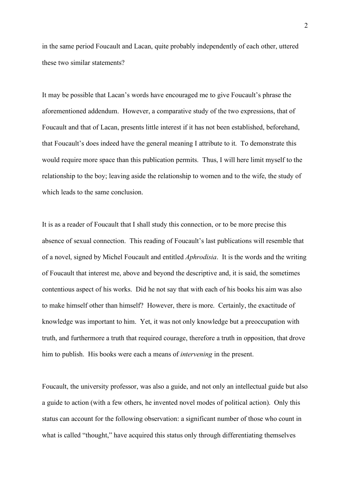in the same period Foucault and Lacan, quite probably independently of each other, uttered these two similar statements?

It may be possible that Lacan's words have encouraged me to give Foucault's phrase the aforementioned addendum. However, a comparative study of the two expressions, that of Foucault and that of Lacan, presents little interest if it has not been established, beforehand, that Foucault's does indeed have the general meaning I attribute to it. To demonstrate this would require more space than this publication permits. Thus, I will here limit myself to the relationship to the boy; leaving aside the relationship to women and to the wife, the study of which leads to the same conclusion.

It is as a reader of Foucault that I shall study this connection, or to be more precise this absence of sexual connection. This reading of Foucault's last publications will resemble that of a novel, signed by Michel Foucault and entitled *Aphrodisia*. It is the words and the writing of Foucault that interest me, above and beyond the descriptive and, it is said, the sometimes contentious aspect of his works. Did he not say that with each of his books his aim was also to make himself other than himself? However, there is more. Certainly, the exactitude of knowledge was important to him. Yet, it was not only knowledge but a preoccupation with truth, and furthermore a truth that required courage, therefore a truth in opposition, that drove him to publish. His books were each a means of *intervening* in the present.

Foucault, the university professor, was also a guide, and not only an intellectual guide but also a guide to action (with a few others, he invented novel modes of political action). Only this status can account for the following observation: a significant number of those who count in what is called "thought," have acquired this status only through differentiating themselves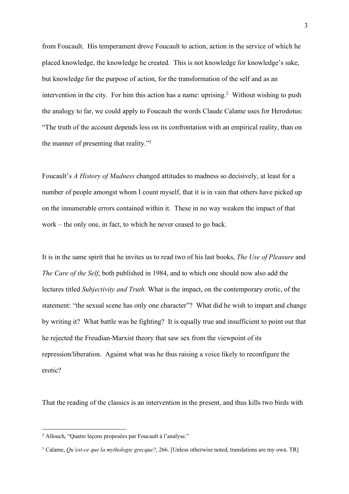from Foucault. His temperament drove Foucault to action, action in the service of which he placed knowledge, the knowledge he created. This is not knowledge for knowledge's sake, but knowledge for the purpose of action, for the transformation of the self and as an intervention in the city. For him this action has a name: uprising.<sup>2</sup> Without wishing to push the analogy to far, we could apply to Foucault the words Claude Calame uses for Herodotus: "The truth of the account depends less on its confrontation with an empirical reality, than on the manner of presenting that reality."3

Foucault's *A History of Madness* changed attitudes to madness so decisively, at least for a number of people amongst whom I count myself, that it is in vain that others have picked up on the innumerable errors contained within it. These in no way weaken the impact of that work – the only one, in fact, to which he never ceased to go back.

It is in the same spirit that he invites us to read two of his last books, *The Use of Pleasure* and *The Care of the Self*, both published in 1984, and to which one should now also add the lectures titled *Subjectivity and Truth.* What is the impact, on the contemporary erotic, of the statement: "the sexual scene has only one character"? What did he wish to impart and change by writing it? What battle was he fighting? It is equally true and insufficient to point out that he rejected the Freudian-Marxist theory that saw sex from the viewpoint of its repression/liberation. Against what was he thus raising a voice likely to reconfigure the erotic?

That the reading of the classics is an intervention in the present, and thus kills two birds with

 <sup>2</sup> Allouch, "Quatre leçons proposées par Foucault à l'analyse."

<sup>3</sup> Calame, *Qu'est-ce que la mythologie grecque?*, 266. [Unless otherwise noted, translations are my own. TR]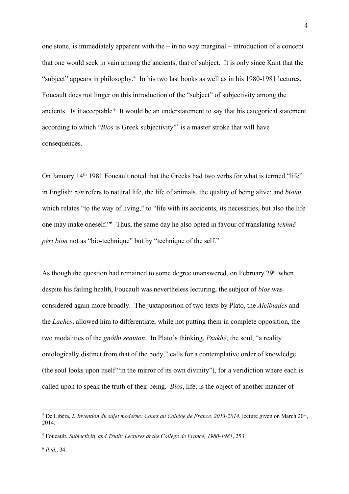one stone, is immediately apparent with the – in no way marginal – introduction of a concept that one would seek in vain among the ancients, that of subject. It is only since Kant that the "subject" appears in philosophy.<sup>4</sup> In his two last books as well as in his 1980-1981 lectures, Foucault does not linger on this introduction of the "subject" of subjectivity among the ancients. Is it acceptable? It would be an understatement to say that his categorical statement according to which "*Bios* is Greek subjectivity"<sup>5</sup> is a master stroke that will have consequences.

On January 14<sup>th</sup> 1981 Foucault noted that the Greeks had two verbs for what is termed "life" in English: *zên* refers to natural life, the life of animals, the quality of being alive; and *bioûn* which relates "to the way of living," to "life with its accidents, its necessities, but also the life one may make oneself."6 Thus, the same day he also opted in favour of translating *tekhnê péri bion* not as "bio-technique" but by "technique of the self."

As though the question had remained to some degree unanswered, on February 29<sup>th</sup> when, despite his failing health, Foucault was nevertheless lecturing, the subject of *bios* was considered again more broadly. The juxtaposition of two texts by Plato, the *Alcibiades* and the *Laches*, allowed him to differentiate, while not putting them in complete opposition, the two modalities of the *gnôthi seauton.* In Plato's thinking, *Psukhê*, the soul, "a reality ontologically distinct from that of the body," calls for a contemplative order of knowledge (the soul looks upon itself "in the mirror of its own divinity"), for a veridiction where each is called upon to speak the truth of their being. *Bios*, life, is the object of another manner of

<sup>&</sup>lt;sup>4</sup> De Libéra, *L'Invention du sujet moderne: Cours au Collège de France, 2013-2014*, lecture given on March 20<sup>th</sup>, 2014.

<sup>5</sup> Foucault, *Subjectivity and Truth: Lectures at the Collège de France, 1980-1981*, 253.

<sup>6</sup> *Ibid*., 34.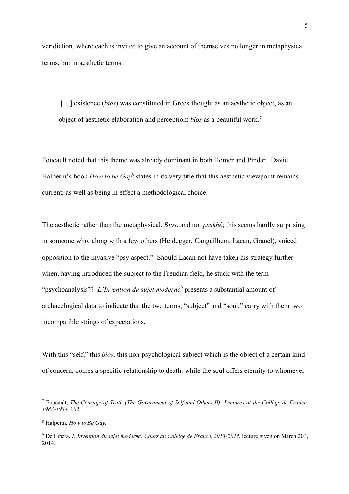veridiction, where each is invited to give an account of themselves no longer in metaphysical terms, but in aesthetic terms.

[...] existence *(bios)* was constituted in Greek thought as an aesthetic object, as an object of aesthetic elaboration and perception: *bios* as a beautiful work. 7

Foucault noted that this theme was already dominant in both Homer and Pindar. David Halperin's book *How to be Gay<sup>8</sup>* states in its very title that this aesthetic viewpoint remains current; as well as being in effect a methodological choice.

The aesthetic rather than the metaphysical, *Bios*, and not *psukhê*; this seems hardly surprising in someone who, along with a few others (Heidegger, Canguilhem, Lacan, Granel), voiced opposition to the invasive "psy aspect." Should Lacan not have taken his strategy further when, having introduced the subject to the Freudian field, he stuck with the term "psychoanalysis"? *L'Invention du sujet moderne*<sup>9</sup> presents a substantial amount of archaeological data to indicate that the two terms, "subject" and "soul," carry with them two incompatible strings of expectations.

With this "self," this *bios*, this non-psychological subject which is the object of a certain kind of concern, comes a specific relationship to death: while the soul offers eternity to whomever

 <sup>7</sup> Foucault, *The Courage of Truth (The Government of Self and Others II): Lectures at the Collège de France, 1983-1984*, 162.

<sup>8</sup> Halperin, *How to Be Gay*.

<sup>&</sup>lt;sup>9</sup> De Libéra, *L'Invention du sujet moderne: Cours au Collège de France, 2013-2014*, lecture given on March 20<sup>th</sup>, 2014.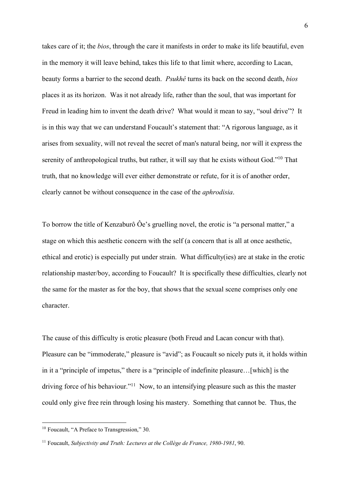takes care of it; the *bios*, through the care it manifests in order to make its life beautiful, even in the memory it will leave behind, takes this life to that limit where, according to Lacan, beauty forms a barrier to the second death. *Psukhê* turns its back on the second death, *bios* places it as its horizon. Was it not already life, rather than the soul, that was important for Freud in leading him to invent the death drive? What would it mean to say, "soul drive"? It is in this way that we can understand Foucault's statement that: "A rigorous language, as it arises from sexuality, will not reveal the secret of man's natural being, nor will it express the serenity of anthropological truths, but rather, it will say that he exists without God."<sup>10</sup> That truth, that no knowledge will ever either demonstrate or refute, for it is of another order, clearly cannot be without consequence in the case of the *aphrodisia*.

To borrow the title of Kenzaburô Ôe's gruelling novel, the erotic is "a personal matter," a stage on which this aesthetic concern with the self (a concern that is all at once aesthetic, ethical and erotic) is especially put under strain. What difficulty(ies) are at stake in the erotic relationship master/boy, according to Foucault? It is specifically these difficulties, clearly not the same for the master as for the boy, that shows that the sexual scene comprises only one character.

The cause of this difficulty is erotic pleasure (both Freud and Lacan concur with that). Pleasure can be "immoderate," pleasure is "avid"; as Foucault so nicely puts it, it holds within in it a "principle of impetus," there is a "principle of indefinite pleasure…[which] is the driving force of his behaviour."11 Now, to an intensifying pleasure such as this the master could only give free rein through losing his mastery. Something that cannot be. Thus, the

<sup>&</sup>lt;sup>10</sup> Foucault, "A Preface to Transgression," 30.

<sup>11</sup> Foucault, *Subjectivity and Truth: Lectures at the Collège de France, 1980-1981*, 90.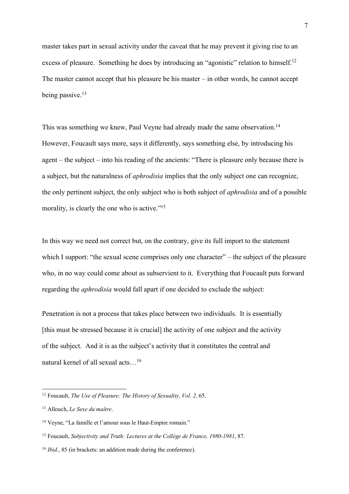master takes part in sexual activity under the caveat that he may prevent it giving rise to an excess of pleasure. Something he does by introducing an "agonistic" relation to himself.<sup>12</sup> The master cannot accept that his pleasure be his master – in other words, he cannot accept being passive. 13

This was something we knew, Paul Veyne had already made the same observation.<sup>14</sup> However, Foucault says more, says it differently, says something else, by introducing his agent – the subject – into his reading of the ancients: "There is pleasure only because there is a subject, but the naturalness of *aphrodisia* implies that the only subject one can recognize, the only pertinent subject, the only subject who is both subject of *aphrodisia* and of a possible morality, is clearly the one who is active."<sup>15</sup>

In this way we need not correct but, on the contrary, give its full import to the statement which I support: "the sexual scene comprises only one character" – the subject of the pleasure who, in no way could come about as subservient to it. Everything that Foucault puts forward regarding the *aphrodisia* would fall apart if one decided to exclude the subject:

Penetration is not a process that takes place between two individuals. It is essentially [this must be stressed because it is crucial] the activity of one subject and the activity of the subject. And it is as the subject's activity that it constitutes the central and natural kernel of all sexual acts…16

 <sup>12</sup> Foucault, *The Use of Pleasure: The History of Sexuality, Vol. 2,* 65.

<sup>13</sup> Allouch, *Le Sexe du maître*.

<sup>14</sup> Veyne, "La famille et l'amour sous le Haut-Empire romain."

<sup>15</sup> Foucault, *Subjectivity and Truth: Lectures at the Collège de France, 1980-1981*, 87.

<sup>16</sup> *Ibid.*, 85 (in brackets: an addition made during the conference).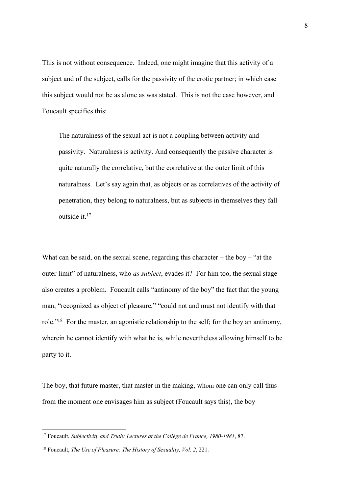This is not without consequence. Indeed, one might imagine that this activity of a subject and of the subject, calls for the passivity of the erotic partner; in which case this subject would not be as alone as was stated. This is not the case however, and Foucault specifies this:

The naturalness of the sexual act is not a coupling between activity and passivity. Naturalness is activity. And consequently the passive character is quite naturally the correlative, but the correlative at the outer limit of this naturalness. Let's say again that, as objects or as correlatives of the activity of penetration, they belong to naturalness, but as subjects in themselves they fall outside it. 17

What can be said, on the sexual scene, regarding this character – the boy – "at the outer limit" of naturalness, who *as subject*, evades it? For him too, the sexual stage also creates a problem. Foucault calls "antinomy of the boy" the fact that the young man, "recognized as object of pleasure," "could not and must not identify with that role."18 For the master, an agonistic relationship to the self; for the boy an antinomy, wherein he cannot identify with what he is, while nevertheless allowing himself to be party to it.

The boy, that future master, that master in the making, whom one can only call thus from the moment one envisages him as subject (Foucault says this), the boy

 <sup>17</sup> Foucault, *Subjectivity and Truth: Lectures at the Collège de France, 1980-1981*, 87.

<sup>18</sup> Foucault, *The Use of Pleasure: The History of Sexuality, Vol. 2*, 221.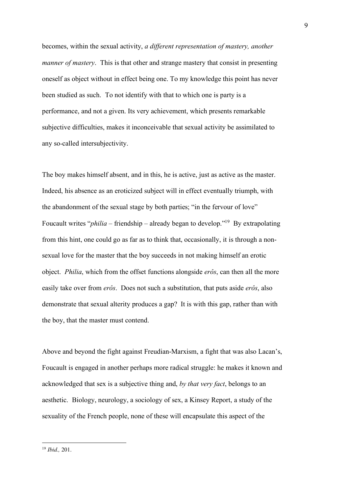becomes, within the sexual activity, *a different representation of mastery, another manner of mastery*. This is that other and strange mastery that consist in presenting oneself as object without in effect being one. To my knowledge this point has never been studied as such. To not identify with that to which one is party is a performance, and not a given. Its very achievement, which presents remarkable subjective difficulties, makes it inconceivable that sexual activity be assimilated to any so-called intersubjectivity.

The boy makes himself absent, and in this, he is active, just as active as the master. Indeed, his absence as an eroticized subject will in effect eventually triumph, with the abandonment of the sexual stage by both parties; "in the fervour of love" Foucault writes "*philia* – friendship – already began to develop."19 By extrapolating from this hint, one could go as far as to think that, occasionally, it is through a nonsexual love for the master that the boy succeeds in not making himself an erotic object. *Philia*, which from the offset functions alongside *erôs*, can then all the more easily take over from *erôs*. Does not such a substitution, that puts aside *erôs*, also demonstrate that sexual alterity produces a gap? It is with this gap, rather than with the boy, that the master must contend.

Above and beyond the fight against Freudian-Marxism, a fight that was also Lacan's, Foucault is engaged in another perhaps more radical struggle: he makes it known and acknowledged that sex is a subjective thing and, *by that very fact*, belongs to an aesthetic. Biology, neurology, a sociology of sex, a Kinsey Report, a study of the sexuality of the French people, none of these will encapsulate this aspect of the

 <sup>19</sup> *Ibid.,* 201.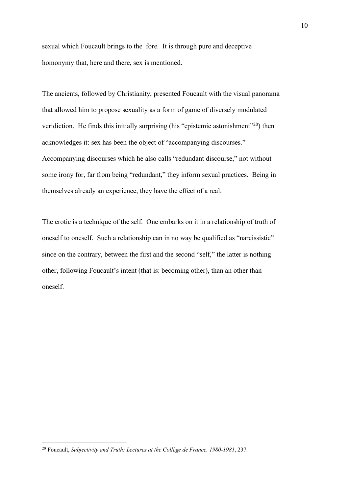sexual which Foucault brings to the fore. It is through pure and deceptive homonymy that, here and there, sex is mentioned.

The ancients, followed by Christianity, presented Foucault with the visual panorama that allowed him to propose sexuality as a form of game of diversely modulated veridiction. He finds this initially surprising (his "epistemic astonishment"<sup>20</sup>) then acknowledges it: sex has been the object of "accompanying discourses." Accompanying discourses which he also calls "redundant discourse," not without some irony for, far from being "redundant," they inform sexual practices. Being in themselves already an experience, they have the effect of a real.

The erotic is a technique of the self. One embarks on it in a relationship of truth of oneself to oneself. Such a relationship can in no way be qualified as "narcissistic" since on the contrary, between the first and the second "self," the latter is nothing other, following Foucault's intent (that is: becoming other), than an other than oneself.

 <sup>20</sup> Foucault, *Subjectivity and Truth: Lectures at the Collège de France, 1980-1981*, 237.